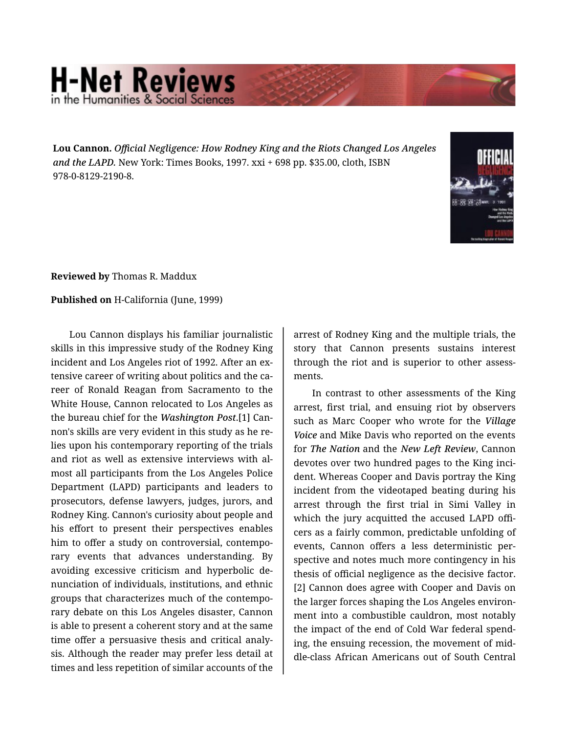## **H-Net Reviews** in the Humanities & Social S

**Lou Cannon.** *Official Negligence: How Rodney King and the Riots Changed Los Angeles and the LAPD.* New York: Times Books, 1997. xxi + 698 pp. \$35.00, cloth, ISBN 978-0-8129-2190-8.



**Reviewed by** Thomas R. Maddux

**Published on** H-California (June, 1999)

Lou Cannon displays his familiar journalistic skills in this impressive study of the Rodney King incident and Los Angeles riot of 1992. After an extensive career of writing about politics and the ca‐ reer of Ronald Reagan from Sacramento to the White House, Cannon relocated to Los Angeles as the bureau chief for the *Washington Post*.[1] Can‐ non's skills are very evident in this study as he re‐ lies upon his contemporary reporting of the trials and riot as well as extensive interviews with al‐ most all participants from the Los Angeles Police Department (LAPD) participants and leaders to prosecutors, defense lawyers, judges, jurors, and Rodney King. Cannon's curiosity about people and his effort to present their perspectives enables him to offer a study on controversial, contempo‐ rary events that advances understanding. By avoiding excessive criticism and hyperbolic de‐ nunciation of individuals, institutions, and ethnic groups that characterizes much of the contempo‐ rary debate on this Los Angeles disaster, Cannon is able to present a coherent story and at the same time offer a persuasive thesis and critical analy‐ sis. Although the reader may prefer less detail at times and less repetition of similar accounts of the arrest of Rodney King and the multiple trials, the story that Cannon presents sustains interest through the riot and is superior to other assess‐ ments.

In contrast to other assessments of the King arrest, first trial, and ensuing riot by observers such as Marc Cooper who wrote for the *Village Voice* and Mike Davis who reported on the events for *The Nation* and the *New Left Review*, Cannon devotes over two hundred pages to the King inci‐ dent. Whereas Cooper and Davis portray the King incident from the videotaped beating during his arrest through the first trial in Simi Valley in which the jury acquitted the accused LAPD officers as a fairly common, predictable unfolding of events, Cannon offers a less deterministic per‐ spective and notes much more contingency in his thesis of official negligence as the decisive factor. [2] Cannon does agree with Cooper and Davis on the larger forces shaping the Los Angeles environ‐ ment into a combustible cauldron, most notably the impact of the end of Cold War federal spend‐ ing, the ensuing recession, the movement of mid‐ dle-class African Americans out of South Central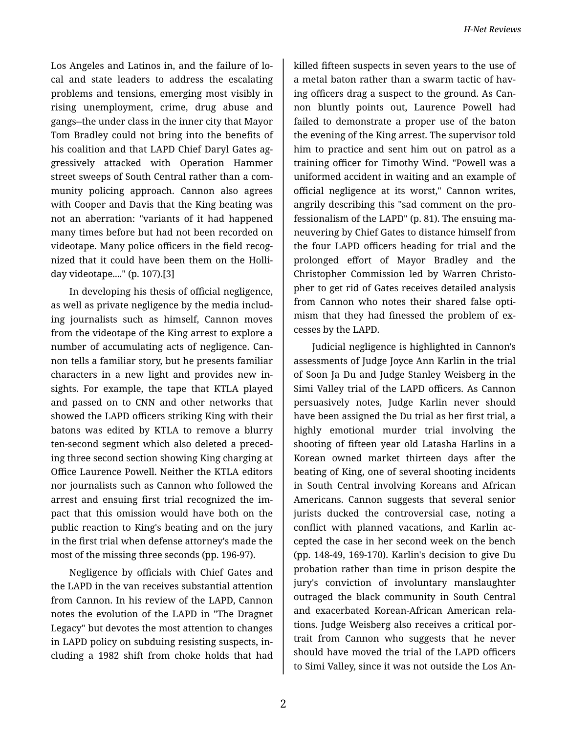Los Angeles and Latinos in, and the failure of lo‐ cal and state leaders to address the escalating problems and tensions, emerging most visibly in rising unemployment, crime, drug abuse and gangs--the under class in the inner city that Mayor Tom Bradley could not bring into the benefits of his coalition and that LAPD Chief Daryl Gates ag‐ gressively attacked with Operation Hammer street sweeps of South Central rather than a com‐ munity policing approach. Cannon also agrees with Cooper and Davis that the King beating was not an aberration: "variants of it had happened many times before but had not been recorded on videotape. Many police officers in the field recog‐ nized that it could have been them on the Holli‐ day videotape...." (p. 107).[3]

In developing his thesis of official negligence, as well as private negligence by the media includ‐ ing journalists such as himself, Cannon moves from the videotape of the King arrest to explore a number of accumulating acts of negligence. Can‐ non tells a familiar story, but he presents familiar characters in a new light and provides new in‐ sights. For example, the tape that KTLA played and passed on to CNN and other networks that showed the LAPD officers striking King with their batons was edited by KTLA to remove a blurry ten-second segment which also deleted a preced‐ ing three second section showing King charging at Office Laurence Powell. Neither the KTLA editors nor journalists such as Cannon who followed the arrest and ensuing first trial recognized the im‐ pact that this omission would have both on the public reaction to King's beating and on the jury in the first trial when defense attorney's made the most of the missing three seconds (pp. 196-97).

Negligence by officials with Chief Gates and the LAPD in the van receives substantial attention from Cannon. In his review of the LAPD, Cannon notes the evolution of the LAPD in "The Dragnet Legacy" but devotes the most attention to changes in LAPD policy on subduing resisting suspects, in‐ cluding a 1982 shift from choke holds that had

killed fifteen suspects in seven years to the use of a metal baton rather than a swarm tactic of hav‐ ing officers drag a suspect to the ground. As Can‐ non bluntly points out, Laurence Powell had failed to demonstrate a proper use of the baton the evening of the King arrest. The supervisor told him to practice and sent him out on patrol as a training officer for Timothy Wind. "Powell was a uniformed accident in waiting and an example of official negligence at its worst," Cannon writes, angrily describing this "sad comment on the pro‐ fessionalism of the LAPD" (p. 81). The ensuing ma‐ neuvering by Chief Gates to distance himself from the four LAPD officers heading for trial and the prolonged effort of Mayor Bradley and the Christopher Commission led by Warren Christo‐ pher to get rid of Gates receives detailed analysis from Cannon who notes their shared false opti‐ mism that they had finessed the problem of ex‐ cesses by the LAPD.

Judicial negligence is highlighted in Cannon's assessments of Judge Joyce Ann Karlin in the trial of Soon Ja Du and Judge Stanley Weisberg in the Simi Valley trial of the LAPD officers. As Cannon persuasively notes, Judge Karlin never should have been assigned the Du trial as her first trial, a highly emotional murder trial involving the shooting of fifteen year old Latasha Harlins in a Korean owned market thirteen days after the beating of King, one of several shooting incidents in South Central involving Koreans and African Americans. Cannon suggests that several senior jurists ducked the controversial case, noting a conflict with planned vacations, and Karlin ac‐ cepted the case in her second week on the bench (pp. 148-49, 169-170). Karlin's decision to give Du probation rather than time in prison despite the jury's conviction of involuntary manslaughter outraged the black community in South Central and exacerbated Korean-African American rela‐ tions. Judge Weisberg also receives a critical por‐ trait from Cannon who suggests that he never should have moved the trial of the LAPD officers to Simi Valley, since it was not outside the Los An‐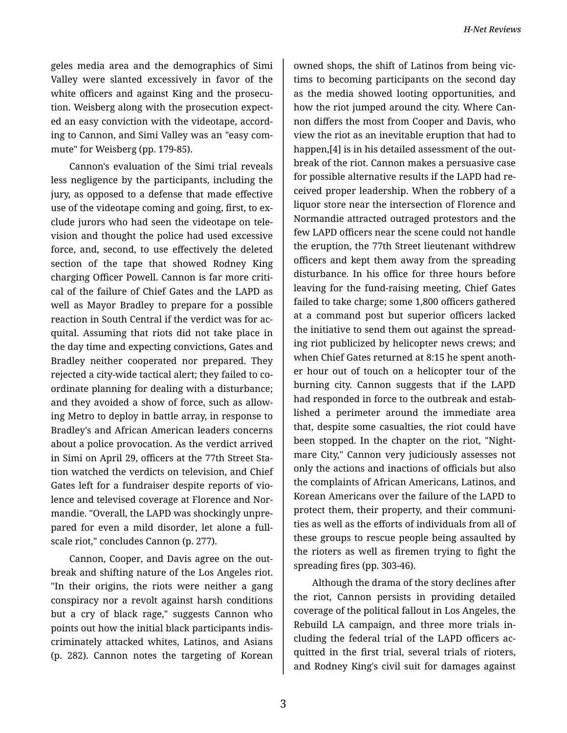geles media area and the demographics of Simi Valley were slanted excessively in favor of the white officers and against King and the prosecution. Weisberg along with the prosecution expect‐ ed an easy conviction with the videotape, accord‐ ing to Cannon, and Simi Valley was an "easy com‐ mute" for Weisberg (pp. 179-85).

Cannon's evaluation of the Simi trial reveals less negligence by the participants, including the jury, as opposed to a defense that made effective use of the videotape coming and going, first, to exclude jurors who had seen the videotape on tele‐ vision and thought the police had used excessive force, and, second, to use effectively the deleted section of the tape that showed Rodney King charging Officer Powell. Cannon is far more criti‐ cal of the failure of Chief Gates and the LAPD as well as Mayor Bradley to prepare for a possible reaction in South Central if the verdict was for ac‐ quital. Assuming that riots did not take place in the day time and expecting convictions, Gates and Bradley neither cooperated nor prepared. They rejected a city-wide tactical alert; they failed to co‐ ordinate planning for dealing with a disturbance; and they avoided a show of force, such as allow‐ ing Metro to deploy in battle array, in response to Bradley's and African American leaders concerns about a police provocation. As the verdict arrived in Simi on April 29, officers at the 77th Street Sta‐ tion watched the verdicts on television, and Chief Gates left for a fundraiser despite reports of vio‐ lence and televised coverage at Florence and Nor‐ mandie. "Overall, the LAPD was shockingly unpre‐ pared for even a mild disorder, let alone a fullscale riot," concludes Cannon (p. 277).

Cannon, Cooper, and Davis agree on the out‐ break and shifting nature of the Los Angeles riot. "In their origins, the riots were neither a gang conspiracy nor a revolt against harsh conditions but a cry of black rage," suggests Cannon who points out how the initial black participants indis‐ criminately attacked whites, Latinos, and Asians (p. 282). Cannon notes the targeting of Korean

owned shops, the shift of Latinos from being vic‐ tims to becoming participants on the second day as the media showed looting opportunities, and how the riot jumped around the city. Where Can‐ non differs the most from Cooper and Davis, who view the riot as an inevitable eruption that had to happen, [4] is in his detailed assessment of the outbreak of the riot. Cannon makes a persuasive case for possible alternative results if the LAPD had re‐ ceived proper leadership. When the robbery of a liquor store near the intersection of Florence and Normandie attracted outraged protestors and the few LAPD officers near the scene could not handle the eruption, the 77th Street lieutenant withdrew officers and kept them away from the spreading disturbance. In his office for three hours before leaving for the fund-raising meeting, Chief Gates failed to take charge; some 1,800 officers gathered at a command post but superior officers lacked the initiative to send them out against the spread‐ ing riot publicized by helicopter news crews; and when Chief Gates returned at 8:15 he spent anoth‐ er hour out of touch on a helicopter tour of the burning city. Cannon suggests that if the LAPD had responded in force to the outbreak and estab‐ lished a perimeter around the immediate area that, despite some casualties, the riot could have been stopped. In the chapter on the riot, "Night‐ mare City," Cannon very judiciously assesses not only the actions and inactions of officials but also the complaints of African Americans, Latinos, and Korean Americans over the failure of the LAPD to protect them, their property, and their communi‐ ties as well as the efforts of individuals from all of these groups to rescue people being assaulted by the rioters as well as firemen trying to fight the spreading fires (pp. 303-46).

Although the drama of the story declines after the riot, Cannon persists in providing detailed coverage of the political fallout in Los Angeles, the Rebuild LA campaign, and three more trials in‐ cluding the federal trial of the LAPD officers ac‐ quitted in the first trial, several trials of rioters, and Rodney King's civil suit for damages against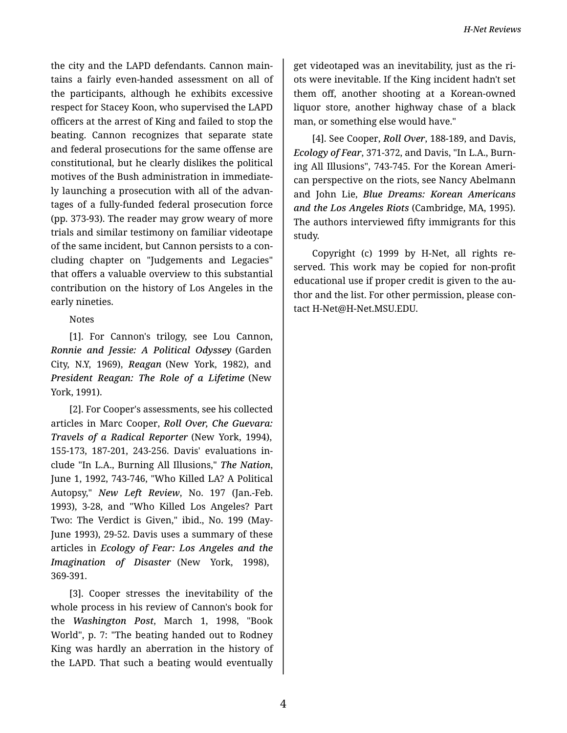the city and the LAPD defendants. Cannon main‐ tains a fairly even-handed assessment on all of the participants, although he exhibits excessive respect for Stacey Koon, who supervised the LAPD officers at the arrest of King and failed to stop the beating. Cannon recognizes that separate state and federal prosecutions for the same offense are constitutional, but he clearly dislikes the political motives of the Bush administration in immediate‐ ly launching a prosecution with all of the advan‐ tages of a fully-funded federal prosecution force (pp. 373-93). The reader may grow weary of more trials and similar testimony on familiar videotape of the same incident, but Cannon persists to a con‐ cluding chapter on "Judgements and Legacies" that offers a valuable overview to this substantial contribution on the history of Los Angeles in the early nineties.

## Notes

[1]. For Cannon's trilogy, see Lou Cannon, *Ronnie and Jessie: A Political Odyssey* (Garden City, N.Y, 1969), *Reagan* (New York, 1982), and *President Reagan: The Role of a Lifetime* (New York, 1991).

[2]. For Cooper's assessments, see his collected articles in Marc Cooper, *Roll Over, Che Guevara: Travels of a Radical Reporter* (New York, 1994), 155-173, 187-201, 243-256. Davis' evaluations in‐ clude "In L.A., Burning All Illusions," *The Nation*, June 1, 1992, 743-746, "Who Killed LA? A Political Autopsy," *New Left Review*, No. 197 (Jan.-Feb. 1993), 3-28, and "Who Killed Los Angeles? Part Two: The Verdict is Given," ibid., No. 199 (May-June 1993), 29-52. Davis uses a summary of these articles in *Ecology of Fear: Los Angeles and the Imagination of Disaster* (New York, 1998), 369-391.

[3]. Cooper stresses the inevitability of the whole process in his review of Cannon's book for the *Washington Post*, March 1, 1998, "Book World", p. 7: "The beating handed out to Rodney King was hardly an aberration in the history of the LAPD. That such a beating would eventually

get videotaped was an inevitability, just as the ri‐ ots were inevitable. If the King incident hadn't set them off, another shooting at a Korean-owned liquor store, another highway chase of a black man, or something else would have."

[4]. See Cooper, *Roll Over*, 188-189, and Davis, *Ecology of Fear*, 371-372, and Davis, "In L.A., Burn‐ ing All Illusions", 743-745. For the Korean Ameri‐ can perspective on the riots, see Nancy Abelmann and John Lie, *Blue Dreams: Korean Americans and the Los Angeles Riots* (Cambridge, MA, 1995). The authors interviewed fifty immigrants for this study.

Copyright (c) 1999 by H-Net, all rights re‐ served. This work may be copied for non-profit educational use if proper credit is given to the au‐ thor and the list. For other permission, please con‐ tact H-Net@H-Net.MSU.EDU.